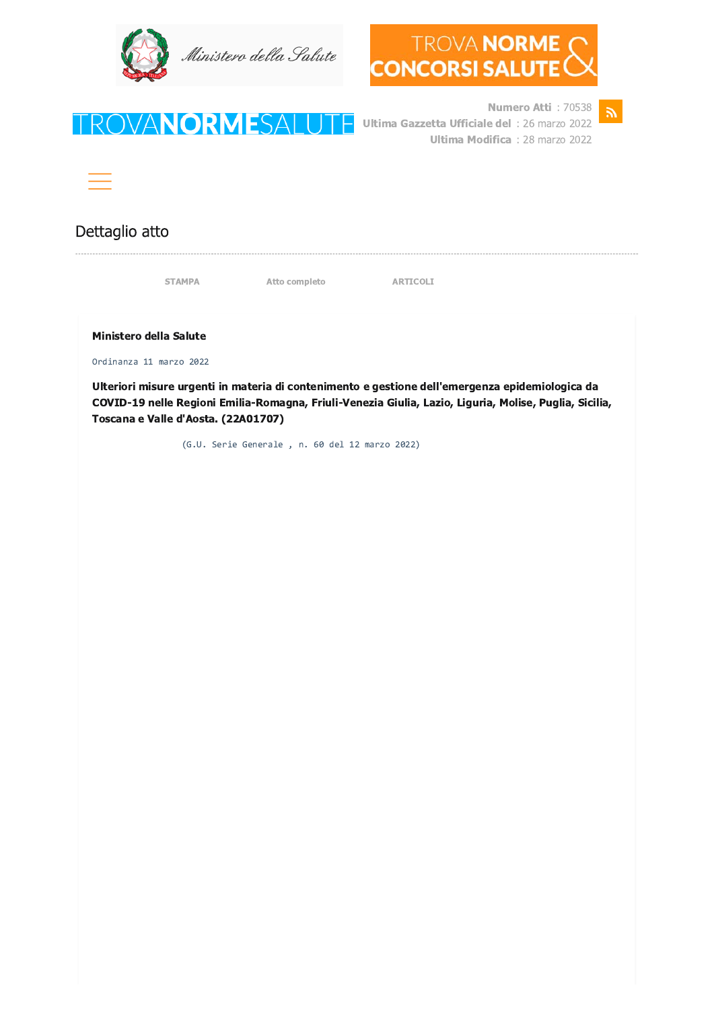





Numero Atti: 70538 Ultima Gazzetta Ufficiale del : 26 marzo 2022 **Ultima Modifica**: 28 marzo 2022



## Dettaglio atto

STAMPA

FROVANORMES

Atto completo

**ARTICOLI** 

**Ministero della Salute** 

Ordinanza 11 marzo 2022

Ulteriori misure urgenti in materia di contenimento e gestione dell'emergenza epidemiologica da COVID-19 nelle Regioni Emilia-Romagna, Friuli-Venezia Giulia, Lazio, Liguria, Molise, Puglia, Sicilia, Toscana e Valle d'Aosta. (22A01707)

(G.U. Serie Generale, n. 60 del 12 marzo 2022)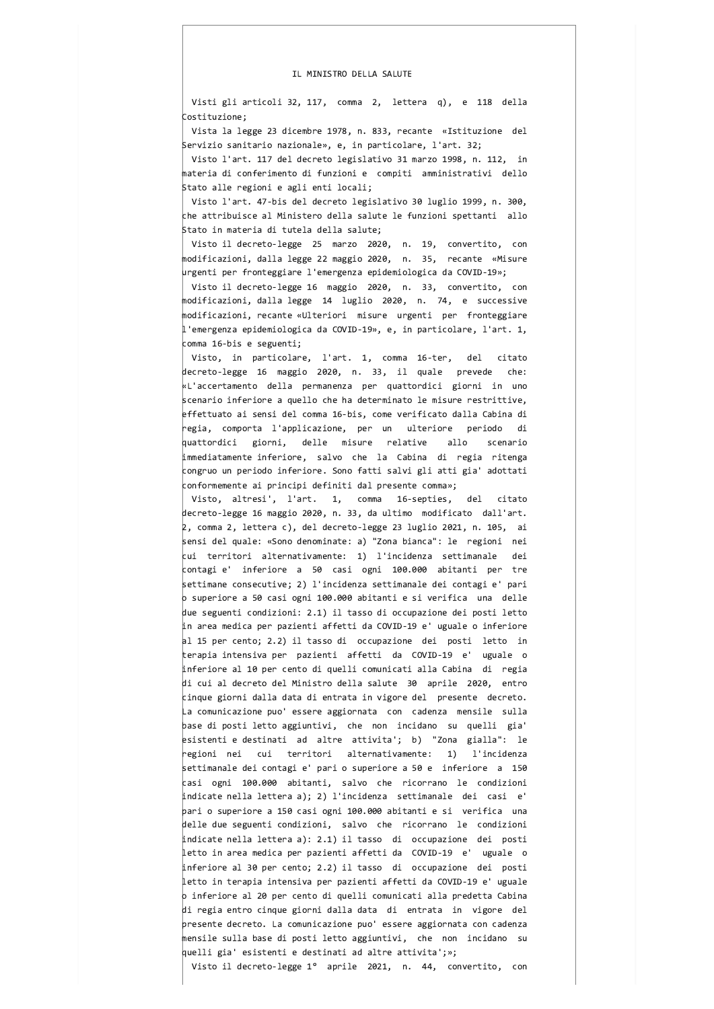## IL MINISTRO DELLA SALUTE

Visti gli articoli 32, 117, comma 2, lettera q), e 118 della Costituzione;

Vista la legge 23 dicembre 1978, n. 833, recante «Istituzione del Servizio sanitario nazionale», e, in particolare, l'art. 32;

Visto l'art. 117 del decreto legislativo 31 marzo 1998, n. 112, in materia di conferimento di funzioni e compiti amministrativi dello Stato alle regioni e agli enti locali;

Visto l'art. 47-bis del decreto legislativo 30 luglio 1999, n. 300, che attribuisce al Ministero della salute le funzioni spettanti allo Stato in materia di tutela della salute;

Visto il decreto-legge 25 marzo 2020, n. 19, convertito, con modificazioni, dalla legge 22 maggio 2020, n. 35, recante «Misure urgenti per fronteggiare l'emergenza epidemiologica da COVID-19»;

Visto il decreto-legge 16 maggio 2020, n. 33, convertito, con modificazioni, dalla legge 14 luglio 2020, n. 74, e successive modificazioni, recante «Ulteriori misure urgenti per fronteggiare  $\vert$ l'emergenza epidemiologica da COVID-19», e, in particolare, l'art. 1,  $comma$  16-bis e seguenti;

Visto, in particolare, l'art. 1, comma 16-ter, del citato decreto-legge 16 maggio 2020, n. 33, il quale prevede che: «L'accertamento della permanenza per quattordici giorni in uno scenario inferiore a quello che ha determinato le misure restrittive, effettuato ai sensi del comma 16-bis, come verificato dalla Cabina di regia, comporta l'applicazione, per un ulteriore periodo di quattordici giorni, delle misure relative allo scenario immediatamente inferiore, salvo che la Cabina di regia ritenga congruo un periodo inferiore. Sono fatti salvi gli atti gia' adottati conformemente ai principi definiti dal presente comma»;

Visto, altresi', l'art. 1, comma 16-septies, del citato decreto-legge 16 maggio 2020, n. 33, da ultimo modificato dall'art.  $2$ , comma 2, lettera c), del decreto-legge 23 luglio 2021, n. 105, ai sensi del quale: «Sono denominate: a) "Zona bianca": le regioni nei  $\vert$ cui territori alternativamente: 1) l'incidenza settimanale dei contagi e' inferiore a 50 casi ogni 100.000 abitanti per tre settimane consecutive; 2) l'incidenza settimanale dei contagi e' pari  $\overline{\rm o}$  superiore a 50 casi ogni 100.000 abitanti e si verifica $\,$  una $\,$  delle  $\,$ due seguenti condizioni: 2.1) il tasso di occupazione dei posti letto in area medica per pazienti affetti da COVID-19 e' uguale o inferiore al 15 per cento; 2.2) il tasso di occupazione dei posti letto in terapia intensiva per pazienti affetti da COVID-19 e' uguale o inferiore al 10 per cento di quelli comunicati alla Cabina di regia di cui al decreto del Ministro della salute 30 aprile 2020, entro cinque giorni dalla data di entrata in vigore del presente decreto. La comunicazione puo' essere aggiornata con cadenza mensile sulla base di posti letto aggiuntivi, che non incidano su quelli gia' esistenti e destinati ad altre attivita'; b) "Zona gialla": le regioni nei cui territori alternativamente: 1) l'incidenza settimanale dei contagi e' pari o superiore a 50 e inferiore a 150 casi ogni 100.000 abitanti, salvo che ricorrano le condizioni indicate nella lettera a); 2) l'incidenza settimanale dei casi e' pari o superiore a 150 casi ogni 100.000 abitanti e si verifica una delle due seguenti condizioni, salvo che ricorrano le condizioni indicate nella lettera a): 2.1) il tasso di occupazione dei posti letto in area medica per pazienti affetti da COVID-19 e' uguale o inferiore al 30 per cento; 2.2) il tasso di occupazione dei posti letto in terapia intensiva per pazienti affetti da COVID-19 e' uguale  $\circ$  inferiore al 20 per cento di quelli comunicati alla predetta Cabina di regia entro cinque giorni dalla data di entrata in vigore del presente decreto. La comunicazione puo' essere aggiornata con cadenza mensile sulla base di posti letto aggiuntivi, che non incidano su quelli gia' esistenti e destinati ad altre attivita';»;

Visto il decreto-legge 1° aprile 2021, n. 44, convertito, con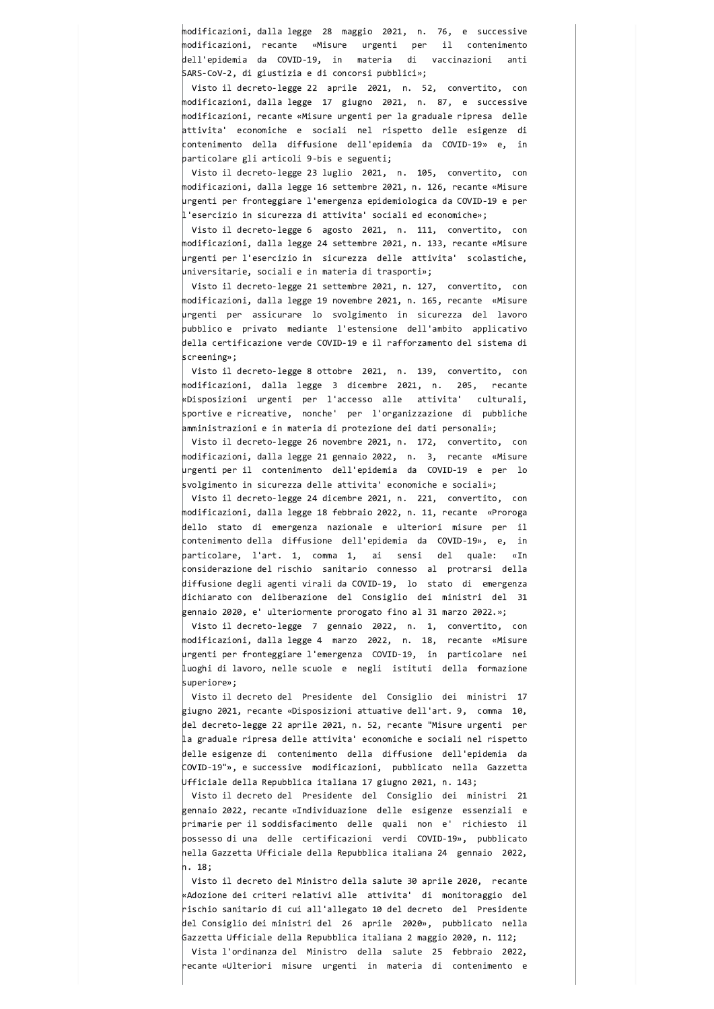modificazioni, dalla legge 28 maggio 2021, n. 76, e successive modificazioni, recante «Misure urgenti per il contenimento dell'epidemia da COVID-19, in materia di vaccinazioni anti SARS-CoV-2, di giustizia e di concorsi pubblici»;

Visto il decreto-legge 22 aprile 2021, n. 52, convertito, con modificazioni, dalla legge 17 giugno 2021, n. 87, e successive modificazioni, recante «Misure urgenti per la graduale ripresa delle attivita' economiche e sociali nel rispetto delle esigenze di contenimento della diffusione dell'epidemia da COVID-19» e, in particolare gli articoli 9-bis e seguenti;

Visto il decreto-legge 23 luglio 2021, n. 105, convertito, con modificazioni, dalla legge 16 settembre 2021, n. 126, recante «Misure urgenti per fronteggiare l'emergenza epidemiologica da COVID-19 e per  $\vert$ l'esercizio in sicurezza di attivita' sociali ed economiche»;

Visto il decreto-legge 6 agosto 2021, n. 111, convertito, con modificazioni, dalla legge 24 settembre 2021, n. 133, recante «Misure urgenti per l'esercizio in sicurezza delle attivita' scolastiche, universitarie, sociali e in materia di trasporti»;

Visto il decreto-legge 21 settembre 2021, n. 127, convertito, con modificazioni, dalla legge 19 novembre 2021, n. 165, recante «Misure urgenti per assicurare lo svolgimento in sicurezza del lavoro pubblico e privato mediante l'estensione dell'ambito applicativo della certificazione verde COVID-19 e il rafforzamento del sistema di screening»:

Visto il decreto-legge 8 ottobre 2021, n. 139, convertito, con modificazioni, dalla legge 3 dicembre 2021, n. 205, recante «Disposizioni urgenti per l'accesso alle attivita' culturali, sportive e ricreative, nonche' per l'organizzazione di pubbliche amministrazioni e in materia di protezione dei dati personali»;

Visto il decreto-legge 26 novembre 2021, n. 172, convertito, con modificazioni, dalla legge 21 gennaio 2022, n. 3, recante «Misure urgenti per il contenimento dell'epidemia da COVID-19 e per lo svolgimento in sicurezza delle attivita' economiche e sociali»;

Visto il decreto-legge 24 dicembre 2021, n. 221, convertito, con modificazioni, dalla legge 18 febbraio 2022, n. 11, recante «Proroga dello stato di emergenza nazionale e ulteriori misure per il contenimento della diffusione dell'epidemia da COVID-19», e, in particolare, l'art. 1, comma 1, ai sensi del quale: «In considerazione del rischio sanitario connesso al protrarsi della diffusione degli agenti virali da COVID-19, lo stato di emergenza dichiarato con deliberazione del Consiglio dei ministri del 31 gennaio 2020, e' ulteriormente prorogato fino al 31 marzo 2022.»;

Visto il decreto-legge 7 gennaio 2022, n. 1, convertito, con modificazioni, dalla legge 4 marzo 2022, n. 18, recante «Misure urgenti per fronteggiare l'emergenza COVID-19, in particolare nei luoghi di lavoro, nelle scuole e negli istituti della formazione superiore»:

Visto il decreto del Presidente del Consiglio dei ministri 17 giugno 2021, recante «Disposizioni attuative dell'art. 9, comma 10, del decreto-legge 22 aprile 2021, n. 52, recante "Misure urgenti per la graduale ripresa delle attivita' economiche e sociali nel rispetto delle esigenze di contenimento della diffusione dell'epidemia da COVID-19"», e successive modificazioni, pubblicato nella Gazzetta Ufficiale della Repubblica italiana 17 giugno 2021, n. 143;

Visto il decreto del Presidente del Consiglio dei ministri 21 gennaio 2022, recante «Individuazione delle esigenze essenziali e primarie per il soddisfacimento delle quali non e' richiesto il possesso di una delle certificazioni verdi COVID-19», pubblicato nella Gazzetta Ufficiale della Repubblica italiana 24 gennaio 2022, n. 18:

Visto il decreto del Ministro della salute 30 aprile 2020, recante «Adozione dei criteri relativi alle attivita' di monitoraggio del rischio sanitario di cui all'allegato 10 del decreto del Presidente del Consiglio dei ministri del 26 aprile 2020», pubblicato nella Gazzetta Ufficiale della Repubblica italiana 2 maggio 2020, n. 112;

Vista l'ordinanza del Ministro della salute 25 febbraio 2022, recante «Ulteriori misure urgenti in materia di contenimento e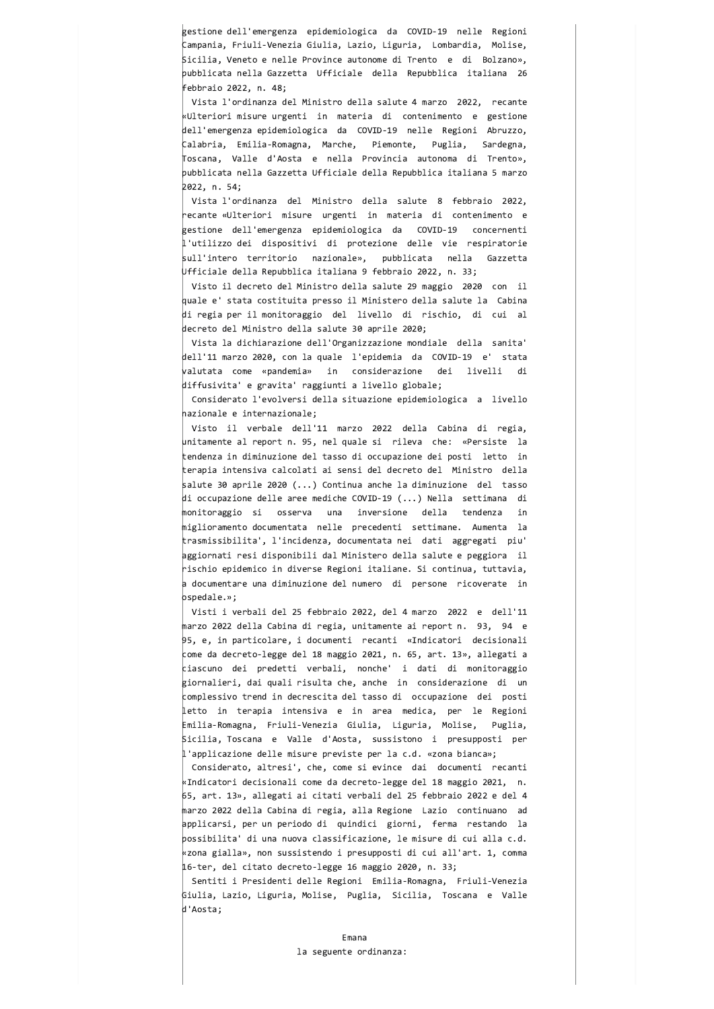gestione dell'emergenza epidemiologica da COVID-19 nelle Regioni Campania, Friuli-Venezia Giulia, Lazio, Liguria, Lombardia, Molise, Sicilia, Veneto e nelle Province autonome di Trento e di Bolzano», pubblicata nella Gazzetta Ufficiale della Repubblica italiana 26 febbraio 2022. n. 48:

Vista l'ordinanza del Ministro della salute 4 marzo 2022, recante «Ulteriori misure urgenti in materia di contenimento e gestione dell'emergenza epidemiologica da COVID-19 nelle Regioni Abruzzo, Calabria, Emilia-Romagna, Marche, Piemonte, Puglia, Sardegna, Toscana, Valle d'Aosta e nella Provincia autonoma di Trento», pubblicata nella Gazzetta Ufficiale della Repubblica italiana 5 marzo 2022, n. 54;

Vista l'ordinanza del Ministro della salute 8 febbraio 2022, recante «Ulteriori misure urgenti in materia di contenimento e |<br>|gestione dell'emergenza epidemiologica da COVID-19 concernenti l'utilizzo dei dispositivi di protezione delle vie respiratorie sull'intero territorio nazionale», pubblicata nella Gazzetta Ufficiale della Repubblica italiana 9 febbraio 2022, n. 33;

Visto il decreto del Ministro della salute 29 maggio 2020 con il quale e' stata costituita presso il Ministero della salute la Cabina di regia per il monitoraggio del livello di rischio, di cui al decreto del Ministro della salute 30 aprile 2020;

Vista la dichiarazione dell'Organizzazione mondiale della sanita' dell'11 marzo 2020, con la quale l'epidemia da COVID-19 e' stata valutata come «pandemia» in considerazione dei livelli di diffusivita' e gravita' raggiunti a livello globale;

Considerato l'evolversi della situazione epidemiologica a livello nazionale e internazionale;

Visto il verbale dell'11 marzo 2022 della Cabina di regia, unitamente al report n. 95, nel quale si rileva che: «Persiste la tendenza in diminuzione del tasso di occupazione dei posti letto in terapia intensiva calcolati ai sensi del decreto del Ministro della salute 30 aprile 2020 (...) Continua anche la diminuzione del tasso di occupazione delle aree mediche COVID-19 (...) Nella settimana di monitoraggio si osserva una inversione della tendenza in miglioramento documentata nelle precedenti settimane. Aumenta la trasmissibilita', l'incidenza, documentata nei dati aggregati piu' aggiornati resi disponibili dal Ministero della salute e peggiora il rischio epidemico in diverse Regioni italiane. Si continua, tuttavia, a documentare una diminuzione del numero di persone ricoverate in ospedale.»;

Visti i verbali del 25 febbraio 2022, del 4 marzo 2022 e dell'11 marzo 2022 della Cabina di regia, unitamente ai report n. 93, 94 e  $95$ , e, in particolare, i documenti recanti «Indicatori decisionali come da decreto-legge del 18 maggio 2021, n. 65, art. 13», allegati a ciascuno dei predetti verbali, nonche' i dati di monitoraggio giornalieri, dai quali risulta che, anche in considerazione di un complessivo trend in decrescita del tasso di occupazione dei posti letto in terapia intensiva e in area medica, per le Regioni Emilia-Romagna, Friuli-Venezia Giulia, Liguria, Molise, Puglia, Sicilia, Toscana e Valle d'Aosta, sussistono i presupposti per  $|1$ 'applicazione delle misure previste per la c.d. «zona bianca»;

Considerato, altresi', che, come si evince dai documenti recanti «Indicatori decisionali come da decreto-legge del 18 maggio 2021, n. 65, art. 13», allegati ai citati verbali del 25 febbraio 2022 e del 4 marzo 2022 della Cabina di regia, alla Regione Lazio continuano ad applicarsi, per un periodo di quindici giorni, ferma restando la possibilita' di una nuova classificazione, le misure di cui alla c.d. «zona gialla», non sussistendo i presupposti di cui all'art. 1, comma 16-ter, del citato decreto-legge 16 maggio 2020, n. 33;

Sentiti i Presidenti delle Regioni Emilia-Romagna, Friuli-Venezia Giulia, Lazio, Liguria, Molise, Puglia, Sicilia, Toscana e Valle d'Aosta;

## Emana la seguente ordinanza: